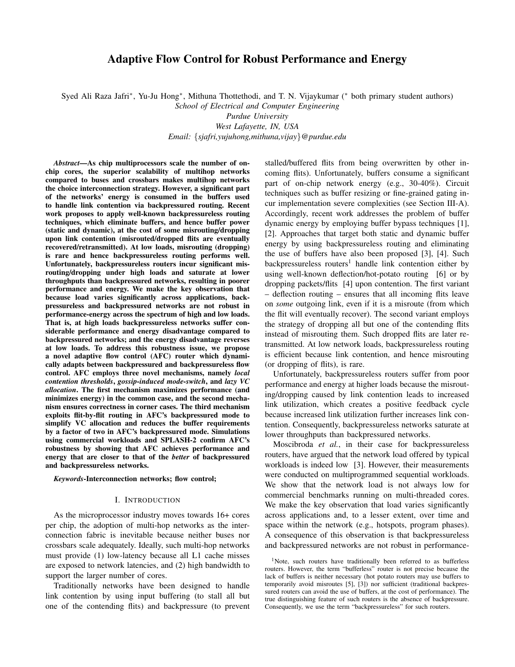# Adaptive Flow Control for Robust Performance and Energy

Syed Ali Raza Jafri<sup>∗</sup>, Yu-Ju Hong<sup>∗</sup>, Mithuna Thottethodi, and T. N. Vijaykumar (\* both primary student authors)

*School of Electrical and Computer Engineering*

*Purdue University West Lafayette, IN, USA Email:* {*sjafri,yujuhong,mithuna,vijay*}*@purdue.edu*

*Abstract*—As chip multiprocessors scale the number of onchip cores, the superior scalability of multihop networks compared to buses and crossbars makes multihop networks the choice interconnection strategy. However, a significant part of the networks' energy is consumed in the buffers used to handle link contention via backpressured routing. Recent work proposes to apply well-known backpressureless routing techniques, which eliminate buffers, and hence buffer power (static and dynamic), at the cost of some misrouting/dropping upon link contention (misrouted/dropped flits are eventually recovered/retransmitted). At low loads, misrouting (dropping) is rare and hence backpressureless routing performs well. Unfortunately, backpressureless routers incur significant misrouting/dropping under high loads and saturate at lower throughputs than backpressured networks, resulting in poorer performance and energy. We make the key observation that because load varies significantly across applications, backpressureless and backpressured networks are not robust in performance-energy across the spectrum of high and low loads. That is, at high loads backpressureless networks suffer considerable performance and energy disadvantage compared to backpressured networks; and the energy disadvantage reverses at low loads. To address this robustness issue, we propose a novel adaptive flow control (AFC) router which dynamically adapts between backpressured and backpressureless flow control. AFC employs three novel mechanisms, namely *local contention thresholds*, *gossip-induced mode-switch*, and *lazy VC allocation*. The first mechanism maximizes performance (and minimizes energy) in the common case, and the second mechanism ensures correctness in corner cases. The third mechanism exploits flit-by-flit routing in AFC's backpressured mode to simplify VC allocation and reduces the buffer requirements by a factor of two in AFC's backpressured mode. Simulations using commercial workloads and SPLASH-2 confirm AFC's robustness by showing that AFC achieves performance and energy that are closer to that of the *better* of backpressured and backpressureless networks.

#### *Keywords*-Interconnection networks; flow control;

# I. INTRODUCTION

As the microprocessor industry moves towards 16+ cores per chip, the adoption of multi-hop networks as the interconnection fabric is inevitable because neither buses nor crossbars scale adequately. Ideally, such multi-hop networks must provide (1) low-latency because all L1 cache misses are exposed to network latencies, and (2) high bandwidth to support the larger number of cores.

Traditionally networks have been designed to handle link contention by using input buffering (to stall all but one of the contending flits) and backpressure (to prevent stalled/buffered flits from being overwritten by other incoming flits). Unfortunately, buffers consume a significant part of on-chip network energy (e.g., 30-40%). Circuit techniques such as buffer resizing or fine-grained gating incur implementation severe complexities (see Section III-A). Accordingly, recent work addresses the problem of buffer dynamic energy by employing buffer bypass techniques [1], [2]. Approaches that target both static and dynamic buffer energy by using backpressureless routing and eliminating the use of buffers have also been proposed [3], [4]. Such  $background$  backpressureless routers<sup>1</sup> handle link contention either by using well-known deflection/hot-potato routing [6] or by dropping packets/flits [4] upon contention. The first variant – deflection routing – ensures that all incoming flits leave on *some* outgoing link, even if it is a misroute (from which the flit will eventually recover). The second variant employs the strategy of dropping all but one of the contending flits instead of misrouting them. Such dropped flits are later retransmitted. At low network loads, backpressureless routing is efficient because link contention, and hence misrouting (or dropping of flits), is rare.

Unfortunately, backpressureless routers suffer from poor performance and energy at higher loads because the misrouting/dropping caused by link contention leads to increased link utilization, which creates a positive feedback cycle because increased link utilization further increases link contention. Consequently, backpressureless networks saturate at lower throughputs than backpressured networks.

Moscibroda *et al.*, in their case for backpressureless routers, have argued that the network load offered by typical workloads is indeed low [3]. However, their measurements were conducted on multiprogrammed sequential workloads. We show that the network load is not always low for commercial benchmarks running on multi-threaded cores. We make the key observation that load varies significantly across applications and, to a lesser extent, over time and space within the network (e.g., hotspots, program phases). A consequence of this observation is that backpressureless and backpressured networks are not robust in performance-

<sup>&</sup>lt;sup>1</sup>Note, such routers have traditionally been referred to as bufferless routers. However, the term "bufferless" router is not precise because the lack of buffers is neither necessary (hot potato routers may use buffers to temporarily avoid misroutes [5], [3]) nor sufficient (traditional backpressured routers can avoid the use of buffers, at the cost of performance). The true distinguishing feature of such routers is the absence of backpressure. Consequently, we use the term "backpressureless" for such routers.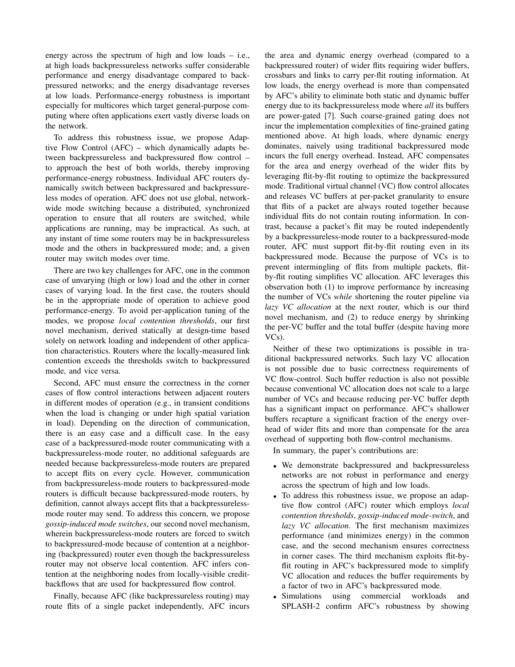energy across the spectrum of high and low loads – i.e., at high loads backpressureless networks suffer considerable performance and energy disadvantage compared to backpressured networks; and the energy disadvantage reverses at low loads. Performance-energy robustness is important especially for multicores which target general-purpose computing where often applications exert vastly diverse loads on the network.

To address this robustness issue, we propose Adaptive Flow Control (AFC) – which dynamically adapts between backpressureless and backpressured flow control – to approach the best of both worlds, thereby improving performance-energy robustness. Individual AFC routers dynamically switch between backpressured and backpressureless modes of operation. AFC does not use global, networkwide mode switching because a distributed, synchronized operation to ensure that all routers are switched, while applications are running, may be impractical. As such, at any instant of time some routers may be in backpressureless mode and the others in backpressured mode; and, a given router may switch modes over time.

There are two key challenges for AFC, one in the common case of unvarying (high or low) load and the other in corner cases of varying load. In the first case, the routers should be in the appropriate mode of operation to achieve good performance-energy. To avoid per-application tuning of the modes, we propose *local contention thresholds*, our first novel mechanism, derived statically at design-time based solely on network loading and independent of other application characteristics. Routers where the locally-measured link contention exceeds the thresholds switch to backpressured mode, and vice versa.

Second, AFC must ensure the correctness in the corner cases of flow control interactions between adjacent routers in different modes of operation (e.g., in transient conditions when the load is changing or under high spatial variation in load). Depending on the direction of communication, there is an easy case and a difficult case. In the easy case of a backpressured-mode router communicating with a backpressureless-mode router, no additional safeguards are needed because backpressureless-mode routers are prepared to accept flits on every cycle. However, communication from backpressureless-mode routers to backpressured-mode routers is difficult because backpressured-mode routers, by definition, cannot always accept flits that a backpressurelessmode router may send. To address this concern, we propose *gossip-induced mode switches*, our second novel mechanism, wherein backpressureless-mode routers are forced to switch to backpressured-mode because of contention at a neighboring (backpressured) router even though the backpressureless router may not observe local contention. AFC infers contention at the neighboring nodes from locally-visible creditbackflows that are used for backpressured flow control.

Finally, because AFC (like backpressureless routing) may route flits of a single packet independently, AFC incurs the area and dynamic energy overhead (compared to a backpressured router) of wider flits requiring wider buffers, crossbars and links to carry per-flit routing information. At low loads, the energy overhead is more than compensated by AFC's ability to eliminate both static and dynamic buffer energy due to its backpressureless mode where *all* its buffers are power-gated [7]. Such coarse-grained gating does not incur the implementation complexities of fine-grained gating mentioned above. At high loads, where dynamic energy dominates, naively using traditional backpressured mode incurs the full energy overhead. Instead, AFC compensates for the area and energy overhead of the wider flits by leveraging flit-by-flit routing to optimize the backpressured mode. Traditional virtual channel (VC) flow control allocates and releases VC buffers at per-packet granularity to ensure that flits of a packet are always routed together because individual flits do not contain routing information. In contrast, because a packet's flit may be routed independently by a backpressureless-mode router to a backpressured-mode router, AFC must support flit-by-flit routing even in its backpressured mode. Because the purpose of VCs is to prevent intermingling of flits from multiple packets, flitby-flit routing simplifies VC allocation. AFC leverages this observation both (1) to improve performance by increasing the number of VCs *while* shortening the router pipeline via *lazy VC allocation* at the next router, which is our third novel mechanism, and (2) to reduce energy by shrinking the per-VC buffer and the total buffer (despite having more VCs).

Neither of these two optimizations is possible in traditional backpressured networks. Such lazy VC allocation is not possible due to basic correctness requirements of VC flow-control. Such buffer reduction is also not possible because conventional VC allocation does not scale to a large number of VCs and because reducing per-VC buffer depth has a significant impact on performance. AFC's shallower buffers recapture a significant fraction of the energy overhead of wider flits and more than compensate for the area overhead of supporting both flow-control mechanisms.

In summary, the paper's contributions are:

- We demonstrate backpressured and backpressureless networks are not robust in performance and energy across the spectrum of high and low loads.
- To address this robustness issue, we propose an adaptive flow control (AFC) router which employs *local contention thresholds*, *gossip-induced mode-switch*, and *lazy VC allocation*. The first mechanism maximizes performance (and minimizes energy) in the common case, and the second mechanism ensures correctness in corner cases. The third mechanism exploits flit-byflit routing in AFC's backpressured mode to simplify VC allocation and reduces the buffer requirements by a factor of two in AFC's backpressured mode.
- Simulations using commercial workloads and SPLASH-2 confirm AFC's robustness by showing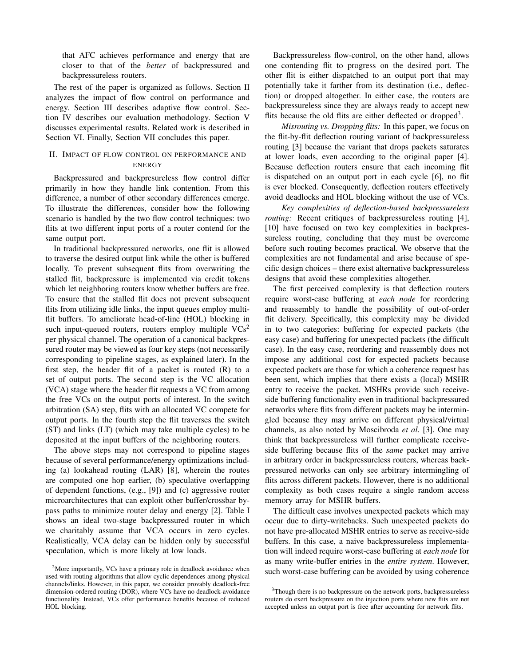that AFC achieves performance and energy that are closer to that of the *better* of backpressured and backpressureless routers.

The rest of the paper is organized as follows. Section II analyzes the impact of flow control on performance and energy. Section III describes adaptive flow control. Section IV describes our evaluation methodology. Section V discusses experimental results. Related work is described in Section VI. Finally, Section VII concludes this paper.

# II. IMPACT OF FLOW CONTROL ON PERFORMANCE AND ENERGY

Backpressured and backpresureless flow control differ primarily in how they handle link contention. From this difference, a number of other secondary differences emerge. To illustrate the differences, consider how the following scenario is handled by the two flow control techniques: two flits at two different input ports of a router contend for the same output port.

In traditional backpressured networks, one flit is allowed to traverse the desired output link while the other is buffered locally. To prevent subsequent flits from overwriting the stalled flit, backpressure is implemented via credit tokens which let neighboring routers know whether buffers are free. To ensure that the stalled flit does not prevent subsequent flits from utilizing idle links, the input queues employ multiflit buffers. To ameliorate head-of-line (HOL) blocking in such input-queued routers, routers employ multiple  $VCs<sup>2</sup>$ per physical channel. The operation of a canonical backpressured router may be viewed as four key steps (not necessarily corresponding to pipeline stages, as explained later). In the first step, the header flit of a packet is routed (R) to a set of output ports. The second step is the VC allocation (VCA) stage where the header flit requests a VC from among the free VCs on the output ports of interest. In the switch arbitration (SA) step, flits with an allocated VC compete for output ports. In the fourth step the flit traverses the switch (ST) and links (LT) (which may take multiple cycles) to be deposited at the input buffers of the neighboring routers.

The above steps may not correspond to pipeline stages because of several performance/energy optimizations including (a) lookahead routing (LAR) [8], wherein the routes are computed one hop earlier, (b) speculative overlapping of dependent functions, (e.g., [9]) and (c) aggressive router microarchitectures that can exploit other buffer/crossbar bypass paths to minimize router delay and energy [2]. Table I shows an ideal two-stage backpressured router in which we charitably assume that VCA occurs in zero cycles. Realistically, VCA delay can be hidden only by successful speculation, which is more likely at low loads.

Backpressureless flow-control, on the other hand, allows one contending flit to progress on the desired port. The other flit is either dispatched to an output port that may potentially take it farther from its destination (i.e., deflection) or dropped altogether. In either case, the routers are backpressureless since they are always ready to accept new flits because the old flits are either deflected or dropped<sup>3</sup>.

*Misrouting vs. Dropping flits:* In this paper, we focus on the flit-by-flit deflection routing variant of backpressureless routing [3] because the variant that drops packets saturates at lower loads, even according to the original paper [4]. Because deflection routers ensure that each incoming flit is dispatched on an output port in each cycle [6], no flit is ever blocked. Consequently, deflection routers effectively avoid deadlocks and HOL blocking without the use of VCs.

*Key complexities of deflection-based backpressureless routing:* Recent critiques of backpressureless routing [4], [10] have focused on two key complexities in backpressureless routing, concluding that they must be overcome before such routing becomes practical. We observe that the complexities are not fundamental and arise because of specific design choices – there exist alternative backpressureless designs that avoid these complexities altogether.

The first perceived complexity is that deflection routers require worst-case buffering at *each node* for reordering and reassembly to handle the possibility of out-of-order flit delivery. Specifically, this complexity may be divided in to two categories: buffering for expected packets (the easy case) and buffering for unexpected packets (the difficult case). In the easy case, reordering and reassembly does not impose any additional cost for expected packets because expected packets are those for which a coherence request has been sent, which implies that there exists a (local) MSHR entry to receive the packet. MSHRs provide such receiveside buffering functionality even in traditional backpressured networks where flits from different packets may be intermingled because they may arrive on different physical/virtual channels, as also noted by Moscibroda *et al.* [3]. One may think that backpressureless will further complicate receiveside buffering because flits of the *same* packet may arrive in arbitrary order in backpressureless routers, whereas backpressured networks can only see arbitrary intermingling of flits across different packets. However, there is no additional complexity as both cases require a single random access memory array for MSHR buffers.

The difficult case involves unexpected packets which may occur due to dirty-writebacks. Such unexpected packets do not have pre-allocated MSHR entries to serve as receive-side buffers. In this case, a naive backpressureless implementation will indeed require worst-case buffering at *each node* for as many write-buffer entries in the *entire system*. However, such worst-case buffering can be avoided by using coherence

<sup>&</sup>lt;sup>2</sup>More importantly, VCs have a primary role in deadlock avoidance when used with routing algorithms that allow cyclic dependences among physical channels/links. However, in this paper, we consider provably deadlock-free dimension-ordered routing (DOR), where VCs have no deadlock-avoidance functionality. Instead, VCs offer performance benefits because of reduced HOL blocking.

<sup>&</sup>lt;sup>3</sup>Though there is no backpressure on the network ports, backpressureless routers do exert backpressure on the injection ports where new flits are not accepted unless an output port is free after accounting for network flits.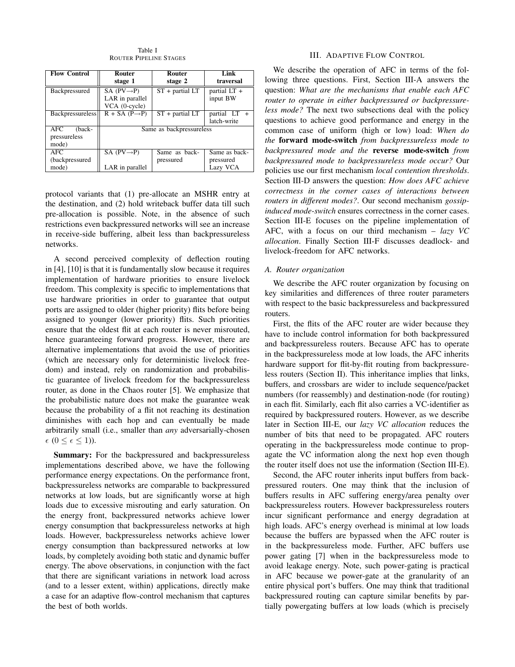| <b>Flow Control</b> | <b>Router</b>              | <b>Router</b>       | Link          |
|---------------------|----------------------------|---------------------|---------------|
|                     | stage 1                    | stage 2             | traversal     |
| Backpressured       | SA $(PV \rightarrow P)$    | $ST +$ partial $LT$ | partial LT +  |
|                     | LAR in parallel            |                     | input BW      |
|                     | VCA (0-cycle)              |                     |               |
| Backpressureless    | $R + SA (P \rightarrow P)$ | $ST +$ partial $LT$ | partial LT +  |
|                     |                            |                     | latch-write   |
| AFC<br>(back-       | Same as backpressureless   |                     |               |
| pressureless        |                            |                     |               |
| mode)               |                            |                     |               |
| <b>AFC</b>          | SA $(PV \rightarrow P)$    | Same as back-       | Same as back- |
| (backpressured      |                            | pressured           | pressured     |
| mode)               | LAR in parallel            |                     | Lazy VCA      |

Table I ROUTER PIPELINE STAGES

protocol variants that (1) pre-allocate an MSHR entry at the destination, and (2) hold writeback buffer data till such pre-allocation is possible. Note, in the absence of such restrictions even backpressured networks will see an increase in receive-side buffering, albeit less than backpressureless networks.

A second perceived complexity of deflection routing in [4], [10] is that it is fundamentally slow because it requires implementation of hardware priorities to ensure livelock freedom. This complexity is specific to implementations that use hardware priorities in order to guarantee that output ports are assigned to older (higher priority) flits before being assigned to younger (lower priority) flits. Such priorities ensure that the oldest flit at each router is never misrouted, hence guaranteeing forward progress. However, there are alternative implementations that avoid the use of priorities (which are necessary only for deterministic livelock freedom) and instead, rely on randomization and probabilistic guarantee of livelock freedom for the backpressureless router, as done in the Chaos router [5]. We emphasize that the probabilistic nature does not make the guarantee weak because the probability of a flit not reaching its destination diminishes with each hop and can eventually be made arbitrarily small (i.e., smaller than *any* adversarially-chosen  $\epsilon$  (0  $\leq \epsilon \leq$  1)).

Summary: For the backpressured and backpressureless implementations described above, we have the following performance energy expectations. On the performance front, backpressureless networks are comparable to backpressured networks at low loads, but are significantly worse at high loads due to excessive misrouting and early saturation. On the energy front, backpressured networks achieve lower energy consumption that backpressureless networks at high loads. However, backpressureless networks achieve lower energy consumption than backpressured networks at low loads, by completely avoiding both static and dynamic buffer energy. The above observations, in conjunction with the fact that there are significant variations in network load across (and to a lesser extent, within) applications, directly make a case for an adaptive flow-control mechanism that captures the best of both worlds.

# III. ADAPTIVE FLOW CONTROL

We describe the operation of AFC in terms of the following three questions. First, Section III-A answers the question: *What are the mechanisms that enable each AFC router to operate in either backpressured or backpressureless mode?* The next two subsections deal with the policy questions to achieve good performance and energy in the common case of uniform (high or low) load: *When do the* forward mode-switch *from backpressureless mode to backpressured mode and the* reverse mode-switch *from backpressured mode to backpressureless mode occur?* Our policies use our first mechanism *local contention thresholds*. Section III-D answers the question: *How does AFC achieve correctness in the corner cases of interactions between routers in different modes?*. Our second mechanism *gossipinduced mode-switch* ensures correctness in the corner cases. Section III-E focuses on the pipeline implementation of AFC, with a focus on our third mechanism – *lazy VC allocation*. Finally Section III-F discusses deadlock- and livelock-freedom for AFC networks.

### *A. Router organization*

We describe the AFC router organization by focusing on key similarities and differences of three router parameters with respect to the basic backpressureless and backpressured routers.

First, the flits of the AFC router are wider because they have to include control information for both backpressured and backpressureless routers. Because AFC has to operate in the backpressureless mode at low loads, the AFC inherits hardware support for flit-by-flit routing from backpressureless routers (Section II). This inheritance implies that links, buffers, and crossbars are wider to include sequence/packet numbers (for reassembly) and destination-node (for routing) in each flit. Similarly, each flit also carries a VC-identifier as required by backpressured routers. However, as we describe later in Section III-E, our *lazy VC allocation* reduces the number of bits that need to be propagated. AFC routers operating in the backpressureless mode continue to propagate the VC information along the next hop even though the router itself does not use the information (Section III-E).

Second, the AFC router inherits input buffers from backpressured routers. One may think that the inclusion of buffers results in AFC suffering energy/area penalty over backpressureless routers. However backpressureless routers incur significant performance and energy degradation at high loads. AFC's energy overhead is minimal at low loads because the buffers are bypassed when the AFC router is in the backpressureless mode. Further, AFC buffers use power gating [7] when in the backpressureless mode to avoid leakage energy. Note, such power-gating is practical in AFC because we power-gate at the granularity of an entire physical port's buffers. One may think that traditional backpressured routing can capture similar benefits by partially powergating buffers at low loads (which is precisely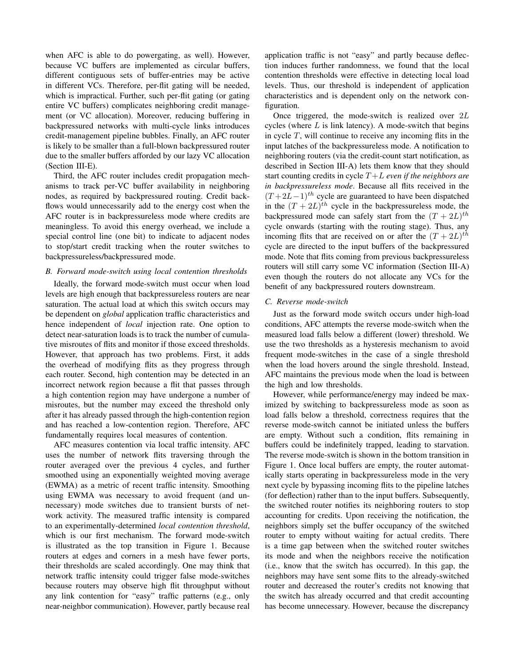when AFC is able to do powergating, as well). However, because VC buffers are implemented as circular buffers, different contiguous sets of buffer-entries may be active in different VCs. Therefore, per-flit gating will be needed, which is impractical. Further, such per-flit gating (or gating entire VC buffers) complicates neighboring credit management (or VC allocation). Moreover, reducing buffering in backpressured networks with multi-cycle links introduces credit-management pipeline bubbles. Finally, an AFC router is likely to be smaller than a full-blown backpressured router due to the smaller buffers afforded by our lazy VC allocation (Section III-E).

Third, the AFC router includes credit propagation mechanisms to track per-VC buffer availability in neighboring nodes, as required by backpressured routing. Credit backflows would unnecessarily add to the energy cost when the AFC router is in backpressureless mode where credits are meaningless. To avoid this energy overhead, we include a special control line (one bit) to indicate to adjacent nodes to stop/start credit tracking when the router switches to backpressureless/backpressured mode.

## *B. Forward mode-switch using local contention thresholds*

Ideally, the forward mode-switch must occur when load levels are high enough that backpressureless routers are near saturation. The actual load at which this switch occurs may be dependent on *global* application traffic characteristics and hence independent of *local* injection rate. One option to detect near-saturation loads is to track the number of cumulative misroutes of flits and monitor if those exceed thresholds. However, that approach has two problems. First, it adds the overhead of modifying flits as they progress through each router. Second, high contention may be detected in an incorrect network region because a flit that passes through a high contention region may have undergone a number of misroutes, but the number may exceed the threshold only after it has already passed through the high-contention region and has reached a low-contention region. Therefore, AFC fundamentally requires local measures of contention.

AFC measures contention via local traffic intensity. AFC uses the number of network flits traversing through the router averaged over the previous 4 cycles, and further smoothed using an exponentially weighted moving average (EWMA) as a metric of recent traffic intensity. Smoothing using EWMA was necessary to avoid frequent (and unnecessary) mode switches due to transient bursts of network activity. The measured traffic intensity is compared to an experimentally-determined *local contention threshold*, which is our first mechanism. The forward mode-switch is illustrated as the top transition in Figure 1. Because routers at edges and corners in a mesh have fewer ports, their thresholds are scaled accordingly. One may think that network traffic intensity could trigger false mode-switches because routers may observe high flit throughput without any link contention for "easy" traffic patterns (e.g., only near-neighbor communication). However, partly because real application traffic is not "easy" and partly because deflection induces further randomness, we found that the local contention thresholds were effective in detecting local load levels. Thus, our threshold is independent of application characteristics and is dependent only on the network configuration.

Once triggered, the mode-switch is realized over 2L cycles (where  $L$  is link latency). A mode-switch that begins in cycle  $T$ , will continue to receive any incoming flits in the input latches of the backpressureless mode. A notification to neighboring routers (via the credit-count start notification, as described in Section III-A) lets them know that they should start counting credits in cycle  $T + L$  *even if the neighbors are in backpressureless mode*. Because all flits received in the  $(T+2L-1)$ <sup>th</sup> cycle are guaranteed to have been dispatched in the  $(T + 2L)^{th}$  cycle in the backpressureless mode, the backpressured mode can safely start from the  $(T + 2L)^{th}$ cycle onwards (starting with the routing stage). Thus, any incoming flits that are received on or after the  $(T + 2L)^{th}$ cycle are directed to the input buffers of the backpressured mode. Note that flits coming from previous backpressureless routers will still carry some VC information (Section III-A) even though the routers do not allocate any VCs for the benefit of any backpressured routers downstream.

#### *C. Reverse mode-switch*

Just as the forward mode switch occurs under high-load conditions, AFC attempts the reverse mode-switch when the measured load falls below a different (lower) threshold. We use the two thresholds as a hysteresis mechanism to avoid frequent mode-switches in the case of a single threshold when the load hovers around the single threshold. Instead, AFC maintains the previous mode when the load is between the high and low thresholds.

However, while performance/energy may indeed be maximized by switching to backpressureless mode as soon as load falls below a threshold, correctness requires that the reverse mode-switch cannot be initiated unless the buffers are empty. Without such a condition, flits remaining in buffers could be indefinitely trapped, leading to starvation. The reverse mode-switch is shown in the bottom transition in Figure 1. Once local buffers are empty, the router automatically starts operating in backpressureless mode in the very next cycle by bypassing incoming flits to the pipeline latches (for deflection) rather than to the input buffers. Subsequently, the switched router notifies its neighboring routers to stop accounting for credits. Upon receiving the notification, the neighbors simply set the buffer occupancy of the switched router to empty without waiting for actual credits. There is a time gap between when the switched router switches its mode and when the neighbors receive the notification (i.e., know that the switch has occurred). In this gap, the neighbors may have sent some flits to the already-switched router and decreased the router's credits not knowing that the switch has already occurred and that credit accounting has become unnecessary. However, because the discrepancy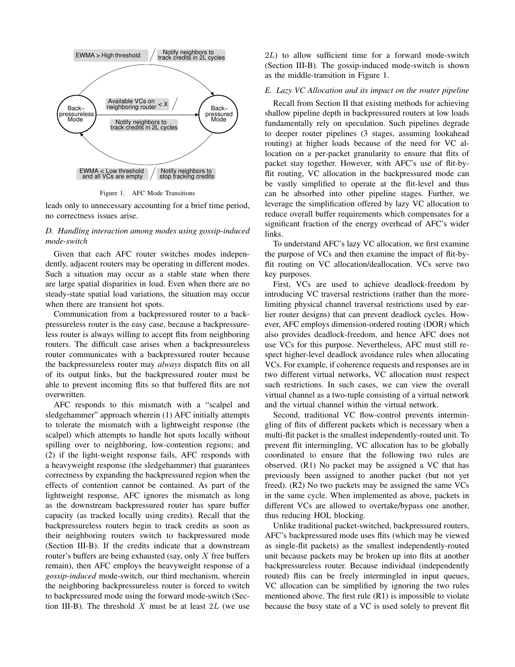

Figure 1. AFC Mode Transitions

leads only to unnecessary accounting for a brief time period, no correctness issues arise.

# *D. Handling interaction among modes using gossip-induced mode-switch*

Given that each AFC router switches modes independently, adjacent routers may be operating in different modes. Such a situation may occur as a stable state when there are large spatial disparities in load. Even when there are no steady-state spatial load variations, the situation may occur when there are transient hot spots.

Communication from a backpressured router to a backpressureless router is the easy case, because a backpressureless router is always willing to accept flits from neighboring routers. The difficult case arises when a backpressureless router communicates with a backpressured router because the backpressureless router may *always* dispatch flits on all of its output links, but the backpressured router must be able to prevent incoming flits so that buffered flits are not overwritten.

AFC responds to this mismatch with a "scalpel and sledgehammer" approach wherein (1) AFC initially attempts to tolerate the mismatch with a lightweight response (the scalpel) which attempts to handle hot spots locally without spilling over to neighboring, low-contention regions; and (2) if the light-weight response fails, AFC responds with a heavyweight response (the sledgehammer) that guarantees correctness by expanding the backpressured region when the effects of contention cannot be contained. As part of the lightweight response, AFC ignores the mismatch as long as the downstream backpressured router has spare buffer capacity (as tracked locally using credits). Recall that the backpressureless routers begin to track credits as soon as their neighboring routers switch to backpressured mode (Section III-B). If the credits indicate that a downstream router's buffers are being exhausted (say, only  $X$  free buffers remain), then AFC employs the heavyweight response of a *gossip-induced* mode-switch, our third mechanism, wherein the neighboring backpressureless router is forced to switch to backpressured mode using the forward mode-switch (Section III-B). The threshold  $X$  must be at least  $2L$  (we use 2L) to allow sufficient time for a forward mode-switch (Section III-B). The gossip-induced mode-switch is shown as the middle-transition in Figure 1.

## *E. Lazy VC Allocation and its impact on the router pipeline*

Recall from Section II that existing methods for achieving shallow pipeline depth in backpressured routers at low loads fundamentally rely on speculation. Such pipelines degrade to deeper router pipelines (3 stages, assuming lookahead routing) at higher loads because of the need for VC allocation on a per-packet granularity to ensure that flits of packet stay together. However, with AFC's use of flit-byflit routing, VC allocation in the backpressured mode can be vastly simplified to operate at the flit-level and thus can be absorbed into other pipeline stages. Further, we leverage the simplification offered by lazy VC allocation to reduce overall buffer requirements which compensates for a significant fraction of the energy overhead of AFC's wider links.

To understand AFC's lazy VC allocation, we first examine the purpose of VCs and then examine the impact of flit-byflit routing on VC allocation/deallocation. VCs serve two key purposes.

First, VCs are used to achieve deadlock-freedom by introducing VC traversal restrictions (rather than the morelimiting physical channel traversal restrictions used by earlier router designs) that can prevent deadlock cycles. However, AFC employs dimension-ordered routing (DOR) which also provides deadlock-freedom, and hence AFC does not use VCs for this purpose. Nevertheless, AFC must still respect higher-level deadlock avoidance rules when allocating VCs. For example, if coherence requests and responses are in two different virtual networks, VC allocation must respect such restrictions. In such cases, we can view the overall virtual channel as a two-tuple consisting of a virtual network and the virtual channel within the virtual network.

Second, traditional VC flow-control prevents intermingling of flits of different packets which is necessary when a multi-flit packet is the smallest independently-routed unit. To prevent flit intermingling, VC allocation has to be globally coordinated to ensure that the following two rules are observed. (R1) No packet may be assigned a VC that has previously been assigned to another packet (but not yet freed). (R2) No two packets may be assigned the same VCs in the same cycle. When implemented as above, packets in different VCs are allowed to overtake/bypass one another, thus reducing HOL blocking.

Unlike traditional packet-switched, backpressured routers, AFC's backpressured mode uses flits (which may be viewed as single-flit packets) as the smallest independently-routed unit because packets may be broken up into flits at another backpressureless router. Because individual (independently routed) flits can be freely intermingled in input queues, VC allocation can be simplified by ignoring the two rules mentioned above. The first rule (R1) is impossible to violate because the busy state of a VC is used solely to prevent flit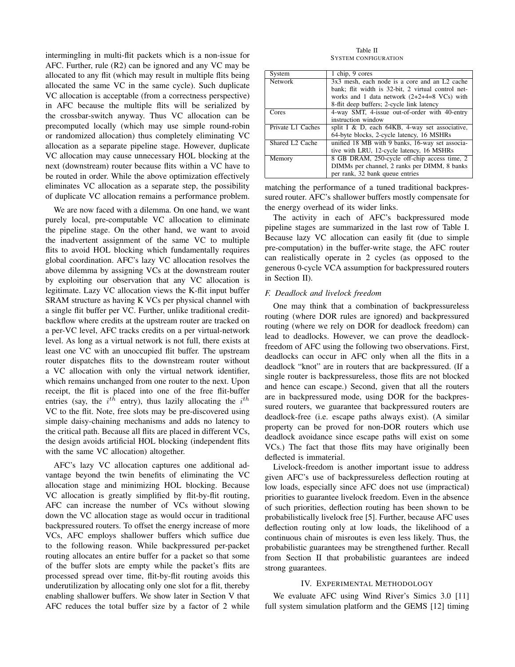intermingling in multi-flit packets which is a non-issue for AFC. Further, rule (R2) can be ignored and any VC may be allocated to any flit (which may result in multiple flits being allocated the same VC in the same cycle). Such duplicate VC allocation is acceptable (from a correctness perspective) in AFC because the multiple flits will be serialized by the crossbar-switch anyway. Thus VC allocation can be precomputed locally (which may use simple round-robin or randomized allocation) thus completely eliminating VC allocation as a separate pipeline stage. However, duplicate VC allocation may cause unnecessary HOL blocking at the next (downstream) router because flits within a VC have to be routed in order. While the above optimization effectively eliminates VC allocation as a separate step, the possibility of duplicate VC allocation remains a performance problem.

We are now faced with a dilemma. On one hand, we want purely local, pre-computable VC allocation to eliminate the pipeline stage. On the other hand, we want to avoid the inadvertent assignment of the same VC to multiple flits to avoid HOL blocking which fundamentally requires global coordination. AFC's lazy VC allocation resolves the above dilemma by assigning VCs at the downstream router by exploiting our observation that any VC allocation is legitimate. Lazy VC allocation views the K-flit input buffer SRAM structure as having K VCs per physical channel with a single flit buffer per VC. Further, unlike traditional creditbackflow where credits at the upstream router are tracked on a per-VC level, AFC tracks credits on a per virtual-network level. As long as a virtual network is not full, there exists at least one VC with an unoccupied flit buffer. The upstream router dispatches flits to the downstream router without a VC allocation with only the virtual network identifier, which remains unchanged from one router to the next. Upon receipt, the flit is placed into one of the free flit-buffer entries (say, the  $i^{t\hat{h}}$  entry), thus lazily allocating the  $i^{th}$ VC to the flit. Note, free slots may be pre-discovered using simple daisy-chaining mechanisms and adds no latency to the critical path. Because all flits are placed in different VCs, the design avoids artificial HOL blocking (independent flits with the same VC allocation) altogether.

AFC's lazy VC allocation captures one additional advantage beyond the twin benefits of eliminating the VC allocation stage and minimizing HOL blocking. Because VC allocation is greatly simplified by flit-by-flit routing, AFC can increase the number of VCs without slowing down the VC allocation stage as would occur in traditional backpressured routers. To offset the energy increase of more VCs, AFC employs shallower buffers which suffice due to the following reason. While backpressured per-packet routing allocates an entire buffer for a packet so that some of the buffer slots are empty while the packet's flits are processed spread over time, flit-by-flit routing avoids this underutilization by allocating only one slot for a flit, thereby enabling shallower buffers. We show later in Section V that AFC reduces the total buffer size by a factor of 2 while

Table II SYSTEM CONFIGURATION

| System                      | 1 chip, 9 cores                                    |  |  |
|-----------------------------|----------------------------------------------------|--|--|
| <b>Network</b>              | 3x3 mesh, each node is a core and an L2 cache      |  |  |
|                             | bank; flit width is 32-bit, 2 virtual control net- |  |  |
|                             | works and 1 data network $(2+2+4=8$ VCs) with      |  |  |
|                             | 8-flit deep buffers; 2-cycle link latency          |  |  |
| Cores                       | 4-way SMT, 4-issue out-of-order with 40-entry      |  |  |
|                             | instruction window                                 |  |  |
| Private L1 Caches           | split I & D, each 64KB, 4-way set associative,     |  |  |
|                             | 64-byte blocks, 2-cycle latency, 16 MSHRs          |  |  |
| Shared L <sub>2</sub> Cache | unified 18 MB with 9 banks, 16-way set associa-    |  |  |
|                             | tive with LRU, 12-cycle latency, 16 MSHRs          |  |  |
| Memory                      | 8 GB DRAM, 250-cycle off-chip access time, 2       |  |  |
|                             | DIMMs per channel, 2 ranks per DIMM, 8 banks       |  |  |
|                             | per rank, 32 bank queue entries                    |  |  |

matching the performance of a tuned traditional backpressured router. AFC's shallower buffers mostly compensate for the energy overhead of its wider links.

The activity in each of AFC's backpressured mode pipeline stages are summarized in the last row of Table I. Because lazy VC allocation can easily fit (due to simple pre-computation) in the buffer-write stage, the AFC router can realistically operate in 2 cycles (as opposed to the generous 0-cycle VCA assumption for backpressured routers in Section II).

# *F. Deadlock and livelock freedom*

One may think that a combination of backpressureless routing (where DOR rules are ignored) and backpressured routing (where we rely on DOR for deadlock freedom) can lead to deadlocks. However, we can prove the deadlockfreedom of AFC using the following two observations. First, deadlocks can occur in AFC only when all the flits in a deadlock "knot" are in routers that are backpressured. (If a single router is backpressureless, those flits are not blocked and hence can escape.) Second, given that all the routers are in backpressured mode, using DOR for the backpressured routers, we guarantee that backpressured routers are deadlock-free (i.e. escape paths always exist). (A similar property can be proved for non-DOR routers which use deadlock avoidance since escape paths will exist on some VCs.) The fact that those flits may have originally been deflected is immaterial.

Livelock-freedom is another important issue to address given AFC's use of backpressureless deflection routing at low loads, especially since AFC does not use (impractical) priorities to guarantee livelock freedom. Even in the absence of such priorities, deflection routing has been shown to be probabilistically livelock free [5]. Further, because AFC uses deflection routing only at low loads, the likelihood of a continuous chain of misroutes is even less likely. Thus, the probabilistic guarantees may be strengthened further. Recall from Section II that probabilistic guarantees are indeed strong guarantees.

### IV. EXPERIMENTAL METHODOLOGY

We evaluate AFC using Wind River's Simics 3.0 [11] full system simulation platform and the GEMS [12] timing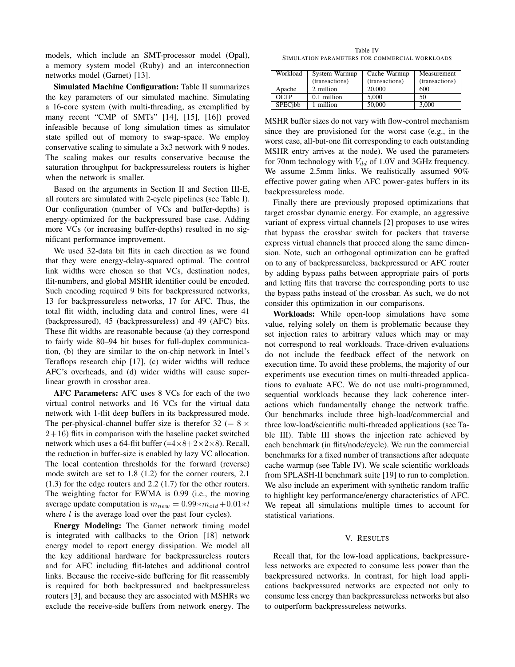models, which include an SMT-processor model (Opal), a memory system model (Ruby) and an interconnection networks model (Garnet) [13].

Simulated Machine Configuration: Table II summarizes the key parameters of our simulated machine. Simulating a 16-core system (with multi-threading, as exemplified by many recent "CMP of SMTs" [14], [15], [16]) proved infeasible because of long simulation times as simulator state spilled out of memory to swap-space. We employ conservative scaling to simulate a 3x3 network with 9 nodes. The scaling makes our results conservative because the saturation throughput for backpressureless routers is higher when the network is smaller.

Based on the arguments in Section II and Section III-E, all routers are simulated with 2-cycle pipelines (see Table I). Our configuration (number of VCs and buffer-depths) is energy-optimized for the backpressured base case. Adding more VCs (or increasing buffer-depths) resulted in no significant performance improvement.

We used 32-data bit flits in each direction as we found that they were energy-delay-squared optimal. The control link widths were chosen so that VCs, destination nodes, flit-numbers, and global MSHR identifier could be encoded. Such encoding required 9 bits for backpressured networks, 13 for backpressureless networks, 17 for AFC. Thus, the total flit width, including data and control lines, were 41 (backpressured), 45 (backpressureless) and 49 (AFC) bits. These flit widths are reasonable because (a) they correspond to fairly wide 80–94 bit buses for full-duplex communication, (b) they are similar to the on-chip network in Intel's Teraflops research chip [17], (c) wider widths will reduce AFC's overheads, and (d) wider widths will cause superlinear growth in crossbar area.

AFC Parameters: AFC uses 8 VCs for each of the two virtual control networks and 16 VCs for the virtual data network with 1-flit deep buffers in its backpressured mode. The per-physical-channel buffer size is therefor 32 ( $= 8 \times$  $2+16$ ) flits in comparison with the baseline packet switched network which uses a 64-flit buffer ( $=4\times8+2\times2\times8$ ). Recall, the reduction in buffer-size is enabled by lazy VC allocation. The local contention thresholds for the forward (reverse) mode switch are set to 1.8 (1.2) for the corner routers, 2.1 (1.3) for the edge routers and 2.2 (1.7) for the other routers. The weighting factor for EWMA is 0.99 (i.e., the moving average update computation is  $m_{new} = 0.99 * m_{old} + 0.01 * l$ where  $l$  is the average load over the past four cycles).

Energy Modeling: The Garnet network timing model is integrated with callbacks to the Orion [18] network energy model to report energy dissipation. We model all the key additional hardware for backpressureless routers and for AFC including flit-latches and additional control links. Because the receive-side buffering for flit reassembly is required for both backpressured and backpressureless routers [3], and because they are associated with MSHRs we exclude the receive-side buffers from network energy. The

Table IV SIMULATION PARAMETERS FOR COMMERCIAL WORKLOADS

| Workload          | System Warmup  | Cache Warmup   | Measurement    |
|-------------------|----------------|----------------|----------------|
|                   | (transactions) | (transactions) | (transactions) |
| Apache            | 2 million      | 20,000         | 600            |
| $\overline{O}$ TP | 0.1 million    | 5.000          | 50             |
| SPECjbb           | million        | 50,000         | 3,000          |

MSHR buffer sizes do not vary with flow-control mechanism since they are provisioned for the worst case (e.g., in the worst case, all-but-one flit corresponding to each outstanding MSHR entry arrives at the node). We used the parameters for 70nm technology with  $V_{dd}$  of 1.0V and 3GHz frequency. We assume 2.5mm links. We realistically assumed 90% effective power gating when AFC power-gates buffers in its backpressureless mode.

Finally there are previously proposed optimizations that target crossbar dynamic energy. For example, an aggressive variant of express virtual channels [2] proposes to use wires that bypass the crossbar switch for packets that traverse express virtual channels that proceed along the same dimension. Note, such an orthogonal optimization can be grafted on to any of backpressureless, backpressured or AFC router by adding bypass paths between appropriate pairs of ports and letting flits that traverse the corresponding ports to use the bypass paths instead of the crossbar. As such, we do not consider this optimization in our comparisons.

Workloads: While open-loop simulations have some value, relying solely on them is problematic because they set injection rates to arbitrary values which may or may not correspond to real workloads. Trace-driven evaluations do not include the feedback effect of the network on execution time. To avoid these problems, the majority of our experiments use execution times on multi-threaded applications to evaluate AFC. We do not use multi-programmed, sequential workloads because they lack coherence interactions which fundamentally change the network traffic. Our benchmarks include three high-load/commercial and three low-load/scientific multi-threaded applications (see Table III). Table III shows the injection rate achieved by each benchmark (in flits/node/cycle). We run the commercial benchmarks for a fixed number of transactions after adequate cache warmup (see Table IV). We scale scientific workloads from SPLASH-II benchmark suite [19] to run to completion. We also include an experiment with synthetic random traffic to highlight key performance/energy characteristics of AFC. We repeat all simulations multiple times to account for statistical variations.

## V. RESULTS

Recall that, for the low-load applications, backpressureless networks are expected to consume less power than the backpressured networks. In contrast, for high load applications backpressured networks are expected not only to consume less energy than backpressureless networks but also to outperform backpressureless networks.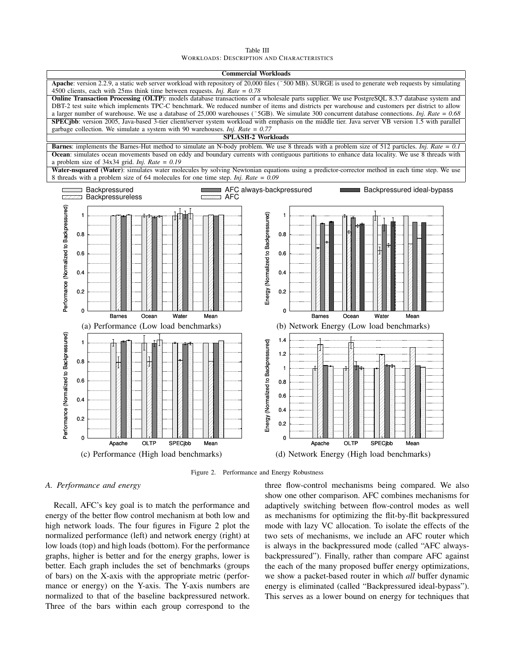Table III WORKLOADS: DESCRIPTION AND CHARACTERISTICS





## *A. Performance and energy*

Recall, AFC's key goal is to match the performance and energy of the better flow control mechanism at both low and high network loads. The four figures in Figure 2 plot the normalized performance (left) and network energy (right) at low loads (top) and high loads (bottom). For the performance graphs, higher is better and for the energy graphs, lower is better. Each graph includes the set of benchmarks (groups of bars) on the X-axis with the appropriate metric (performance or energy) on the Y-axis. The Y-axis numbers are normalized to that of the baseline backpressured network. Three of the bars within each group correspond to the three flow-control mechanisms being compared. We also show one other comparison. AFC combines mechanisms for adaptively switching between flow-control modes as well as mechanisms for optimizing the flit-by-flit backpressured mode with lazy VC allocation. To isolate the effects of the two sets of mechanisms, we include an AFC router which is always in the backpressured mode (called "AFC alwaysbackpressured"). Finally, rather than compare AFC against the each of the many proposed buffer energy optimizations, we show a packet-based router in which *all* buffer dynamic energy is eliminated (called "Backpressured ideal-bypass"). This serves as a lower bound on energy for techniques that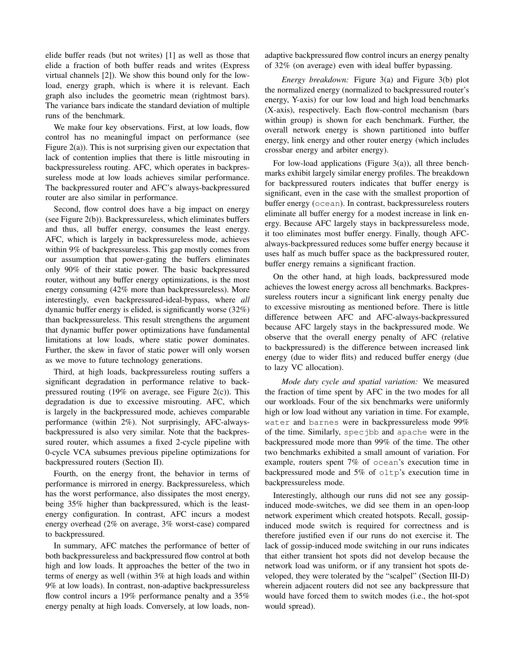elide buffer reads (but not writes) [1] as well as those that elide a fraction of both buffer reads and writes (Express virtual channels [2]). We show this bound only for the lowload, energy graph, which is where it is relevant. Each graph also includes the geometric mean (rightmost bars). The variance bars indicate the standard deviation of multiple runs of the benchmark.

We make four key observations. First, at low loads, flow control has no meaningful impact on performance (see Figure 2(a)). This is not surprising given our expectation that lack of contention implies that there is little misrouting in backpressureless routing. AFC, which operates in backpressureless mode at low loads achieves similar performance. The backpressured router and AFC's always-backpressured router are also similar in performance.

Second, flow control does have a big impact on energy (see Figure 2(b)). Backpressureless, which eliminates buffers and thus, all buffer energy, consumes the least energy. AFC, which is largely in backpressureless mode, achieves within 9% of backpressureless. This gap mostly comes from our assumption that power-gating the buffers eliminates only 90% of their static power. The basic backpressured router, without any buffer energy optimizations, is the most energy consuming (42% more than backpressureless). More interestingly, even backpressured-ideal-bypass, where *all* dynamic buffer energy is elided, is significantly worse (32%) than backpressureless. This result strengthens the argument that dynamic buffer power optimizations have fundamental limitations at low loads, where static power dominates. Further, the skew in favor of static power will only worsen as we move to future technology generations.

Third, at high loads, backpressureless routing suffers a significant degradation in performance relative to backpressured routing (19% on average, see Figure 2(c)). This degradation is due to excessive misrouting. AFC, which is largely in the backpressured mode, achieves comparable performance (within 2%). Not surprisingly, AFC-alwaysbackpressured is also very similar. Note that the backpressured router, which assumes a fixed 2-cycle pipeline with 0-cycle VCA subsumes previous pipeline optimizations for backpressured routers (Section II).

Fourth, on the energy front, the behavior in terms of performance is mirrored in energy. Backpressureless, which has the worst performance, also dissipates the most energy, being 35% higher than backpressured, which is the leastenergy configuration. In contrast, AFC incurs a modest energy overhead (2% on average, 3% worst-case) compared to backpressured.

In summary, AFC matches the performance of better of both backpressureless and backpressured flow control at both high and low loads. It approaches the better of the two in terms of energy as well (within 3% at high loads and within 9% at low loads). In contrast, non-adaptive backpressureless flow control incurs a 19% performance penalty and a 35% energy penalty at high loads. Conversely, at low loads, nonadaptive backpressured flow control incurs an energy penalty of 32% (on average) even with ideal buffer bypassing.

*Energy breakdown:* Figure 3(a) and Figure 3(b) plot the normalized energy (normalized to backpressured router's energy, Y-axis) for our low load and high load benchmarks (X-axis), respectively. Each flow-control mechanism (bars within group) is shown for each benchmark. Further, the overall network energy is shown partitioned into buffer energy, link energy and other router energy (which includes crossbar energy and arbiter energy).

For low-load applications (Figure 3(a)), all three benchmarks exhibit largely similar energy profiles. The breakdown for backpressured routers indicates that buffer energy is significant, even in the case with the smallest proportion of buffer energy (ocean). In contrast, backpressureless routers eliminate all buffer energy for a modest increase in link energy. Because AFC largely stays in backpressureless mode, it too eliminates most buffer energy. Finally, though AFCalways-backpressured reduces some buffer energy because it uses half as much buffer space as the backpressured router, buffer energy remains a significant fraction.

On the other hand, at high loads, backpressured mode achieves the lowest energy across all benchmarks. Backpressureless routers incur a significant link energy penalty due to excessive misrouting as mentioned before. There is little difference between AFC and AFC-always-backpressured because AFC largely stays in the backpressured mode. We observe that the overall energy penalty of AFC (relative to backpressured) is the difference between increased link energy (due to wider flits) and reduced buffer energy (due to lazy VC allocation).

*Mode duty cycle and spatial variation:* We measured the fraction of time spent by AFC in the two modes for all our workloads. Four of the six benchmarks were uniformly high or low load without any variation in time. For example, water and barnes were in backpressureless mode 99% of the time. Similarly, specjbb and apache were in the backpressured mode more than 99% of the time. The other two benchmarks exhibited a small amount of variation. For example, routers spent 7% of ocean's execution time in backpressured mode and 5% of oltp's execution time in backpressureless mode.

Interestingly, although our runs did not see any gossipinduced mode-switches, we did see them in an open-loop network experiment which created hotspots. Recall, gossipinduced mode switch is required for correctness and is therefore justified even if our runs do not exercise it. The lack of gossip-induced mode switching in our runs indicates that either transient hot spots did not develop because the network load was uniform, or if any transient hot spots developed, they were tolerated by the "scalpel" (Section III-D) wherein adjacent routers did not see any backpressure that would have forced them to switch modes (i.e., the hot-spot would spread).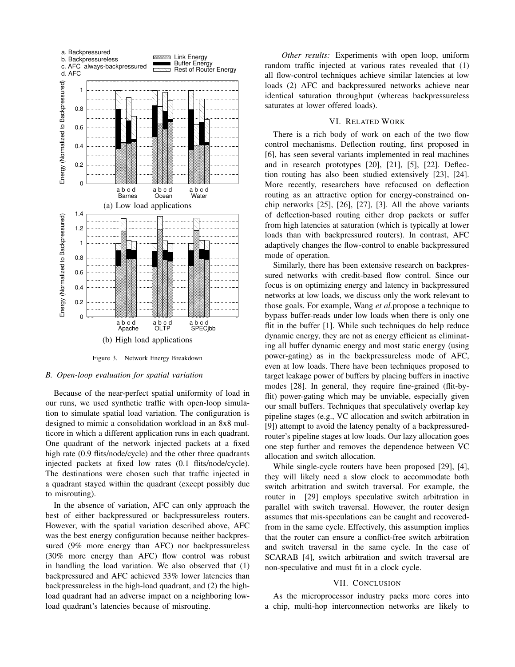

Figure 3. Network Energy Breakdown

### *B. Open-loop evaluation for spatial variation*

Because of the near-perfect spatial uniformity of load in our runs, we used synthetic traffic with open-loop simulation to simulate spatial load variation. The configuration is designed to mimic a consolidation workload in an 8x8 multicore in which a different application runs in each quadrant. One quadrant of the network injected packets at a fixed high rate (0.9 flits/node/cycle) and the other three quadrants injected packets at fixed low rates (0.1 flits/node/cycle). The destinations were chosen such that traffic injected in a quadrant stayed within the quadrant (except possibly due to misrouting).

In the absence of variation, AFC can only approach the best of either backpressured or backpressureless routers. However, with the spatial variation described above, AFC was the best energy configuration because neither backpressured (9% more energy than AFC) nor backpressureless (30% more energy than AFC) flow control was robust in handling the load variation. We also observed that (1) backpressured and AFC achieved 33% lower latencies than backpressureless in the high-load quadrant, and (2) the highload quadrant had an adverse impact on a neighboring lowload quadrant's latencies because of misrouting.

*Other results:* Experiments with open loop, uniform random traffic injected at various rates revealed that (1) all flow-control techniques achieve similar latencies at low loads (2) AFC and backpressured networks achieve near identical saturation throughput (whereas backpressureless saturates at lower offered loads).

## VI. RELATED WORK

There is a rich body of work on each of the two flow control mechanisms. Deflection routing, first proposed in [6], has seen several variants implemented in real machines and in research prototypes [20], [21], [5], [22]. Deflection routing has also been studied extensively [23], [24]. More recently, researchers have refocused on deflection routing as an attractive option for energy-constrained onchip networks [25], [26], [27], [3]. All the above variants of deflection-based routing either drop packets or suffer from high latencies at saturation (which is typically at lower loads than with backpressured routers). In contrast, AFC adaptively changes the flow-control to enable backpressured mode of operation.

Similarly, there has been extensive research on backpressured networks with credit-based flow control. Since our focus is on optimizing energy and latency in backpressured networks at low loads, we discuss only the work relevant to those goals. For example, Wang *et al.*propose a technique to bypass buffer-reads under low loads when there is only one flit in the buffer [1]. While such techniques do help reduce dynamic energy, they are not as energy efficient as eliminating all buffer dynamic energy and most static energy (using power-gating) as in the backpressureless mode of AFC, even at low loads. There have been techniques proposed to target leakage power of buffers by placing buffers in inactive modes [28]. In general, they require fine-grained (flit-byflit) power-gating which may be unviable, especially given our small buffers. Techniques that speculatively overlap key pipeline stages (e.g., VC allocation and switch arbitration in [9]) attempt to avoid the latency penalty of a backpressuredrouter's pipeline stages at low loads. Our lazy allocation goes one step further and removes the dependence between VC allocation and switch allocation.

While single-cycle routers have been proposed [29], [4], they will likely need a slow clock to accommodate both switch arbitration and switch traversal. For example, the router in [29] employs speculative switch arbitration in parallel with switch traversal. However, the router design assumes that mis-speculations can be caught and recoveredfrom in the same cycle. Effectively, this assumption implies that the router can ensure a conflict-free switch arbitration and switch traversal in the same cycle. In the case of SCARAB [4], switch arbitration and switch traversal are non-speculative and must fit in a clock cycle.

# VII. CONCLUSION

As the microprocessor industry packs more cores into a chip, multi-hop interconnection networks are likely to